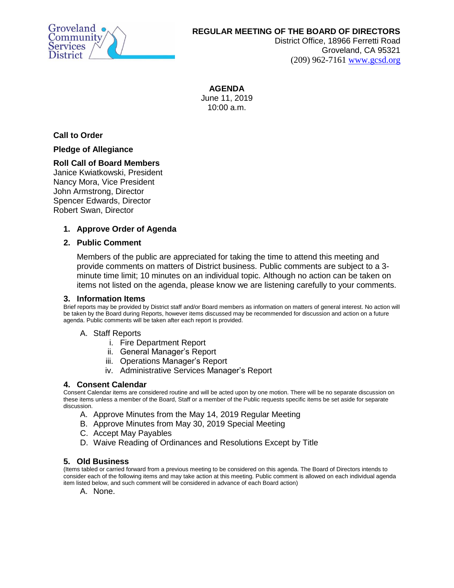

# **REGULAR MEETING OF THE BOARD OF DIRECTORS**

District Office, 18966 Ferretti Road Groveland, CA 95321 (209) 962-7161 [www.gcsd.org](http://www.gcsd.org/)

**AGENDA** June 11, 2019 10:00 a.m.

### **Call to Order**

#### **Pledge of Allegiance**

## **Roll Call of Board Members**

Janice Kwiatkowski, President Nancy Mora, Vice President John Armstrong, Director Spencer Edwards, Director Robert Swan, Director

## **1. Approve Order of Agenda**

#### **2. Public Comment**

Members of the public are appreciated for taking the time to attend this meeting and provide comments on matters of District business. Public comments are subject to a 3 minute time limit; 10 minutes on an individual topic. Although no action can be taken on items not listed on the agenda, please know we are listening carefully to your comments.

#### **3. Information Items**

Brief reports may be provided by District staff and/or Board members as information on matters of general interest. No action will be taken by the Board during Reports, however items discussed may be recommended for discussion and action on a future agenda. Public comments will be taken after each report is provided.

#### A. Staff Reports

- i. Fire Department Report
- ii. General Manager's Report
- iii. Operations Manager's Report
- iv. Administrative Services Manager's Report

#### **4. Consent Calendar**

Consent Calendar items are considered routine and will be acted upon by one motion. There will be no separate discussion on these items unless a member of the Board, Staff or a member of the Public requests specific items be set aside for separate discussion.

- A. Approve Minutes from the May 14, 2019 Regular Meeting
- B. Approve Minutes from May 30, 2019 Special Meeting
- C. Accept May Payables
- D. Waive Reading of Ordinances and Resolutions Except by Title

## **5. Old Business**

(Items tabled or carried forward from a previous meeting to be considered on this agenda. The Board of Directors intends to consider each of the following items and may take action at this meeting. Public comment is allowed on each individual agenda item listed below, and such comment will be considered in advance of each Board action)

A. None.